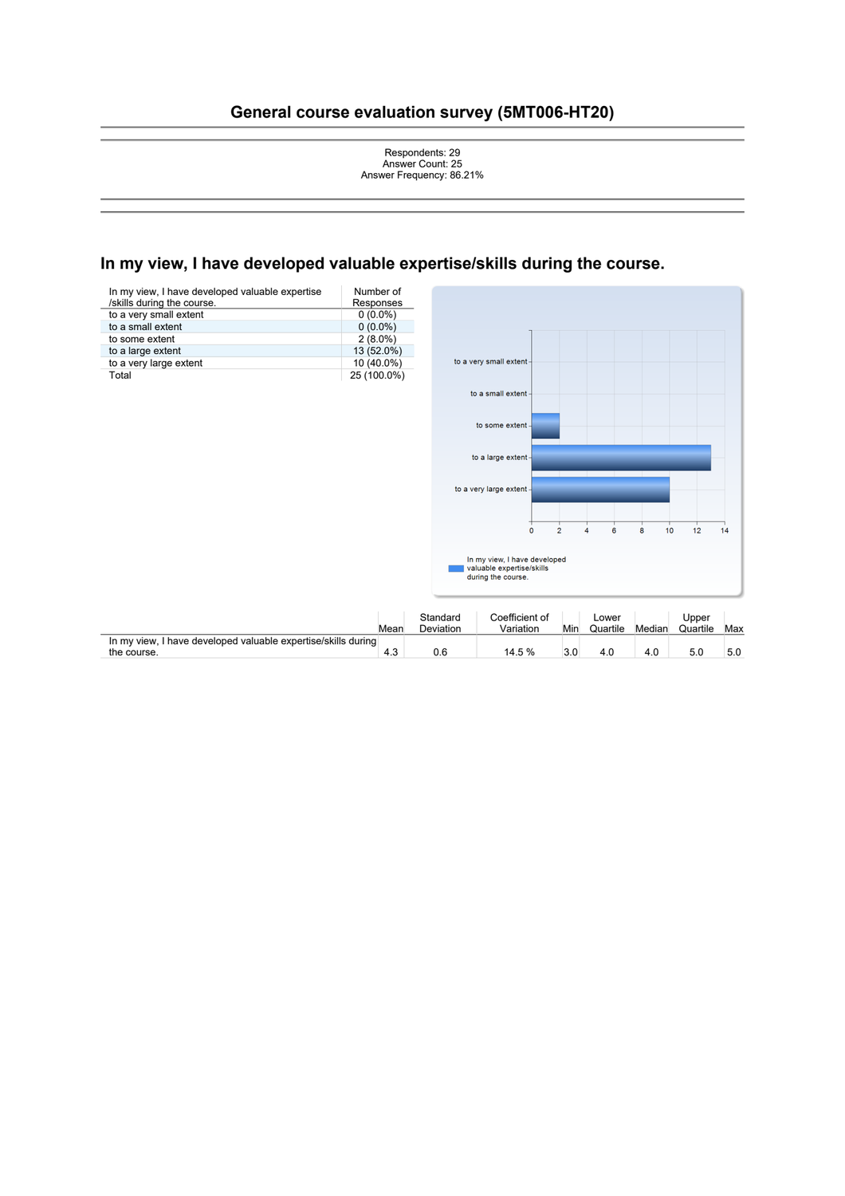# **General course evaluation survey (5MT006-HT20)**



to some extent

to a large extent

 $\frac{1}{2}$  $\overline{4}$ 

 $\ddot{\mathbf{o}}$ 

 $\overline{8}$ 

 $\ddot{\bf{6}}$ 

 $10<sup>1</sup>$  $12$  $14$ 

to a very large extent

|                                                                              |      |                       | In my view, I have developed<br>valuable expertise/skills<br>during the course. |     |                   |        |                   |     |
|------------------------------------------------------------------------------|------|-----------------------|---------------------------------------------------------------------------------|-----|-------------------|--------|-------------------|-----|
|                                                                              | Mean | Standard<br>Deviation | Coefficient of<br>Variation                                                     | Min | Lower<br>Quartile | Median | Upper<br>Quartile | Max |
| In my view, I have developed valuable expertise/skills during<br>the course. | 4.3  | 0.6                   | 14.5 %                                                                          | 3.0 | 4.0               | 4.0    | 5.0               | 5.0 |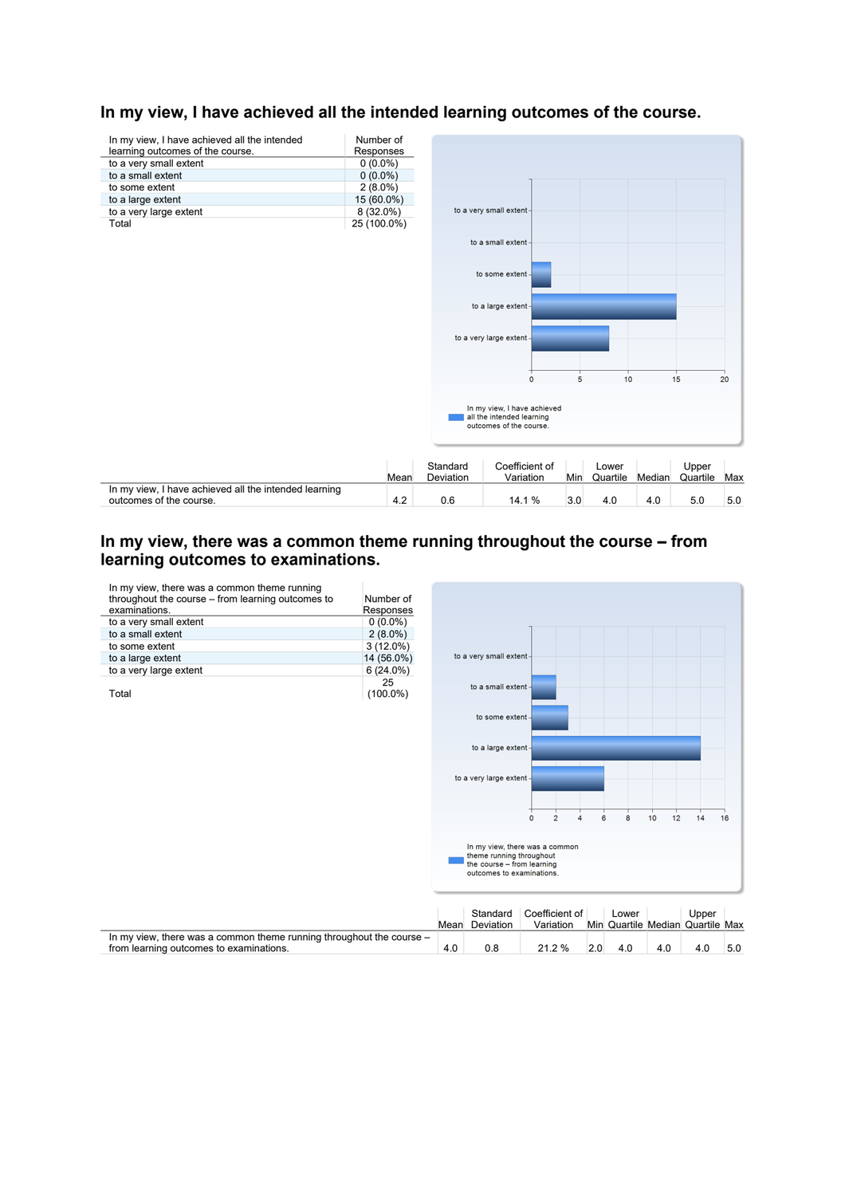

# In my view, I have achieved all the intended learning outcomes of the course.

# **In my view, there was a common theme running throughout the course – from learning outcomes to examinations.**

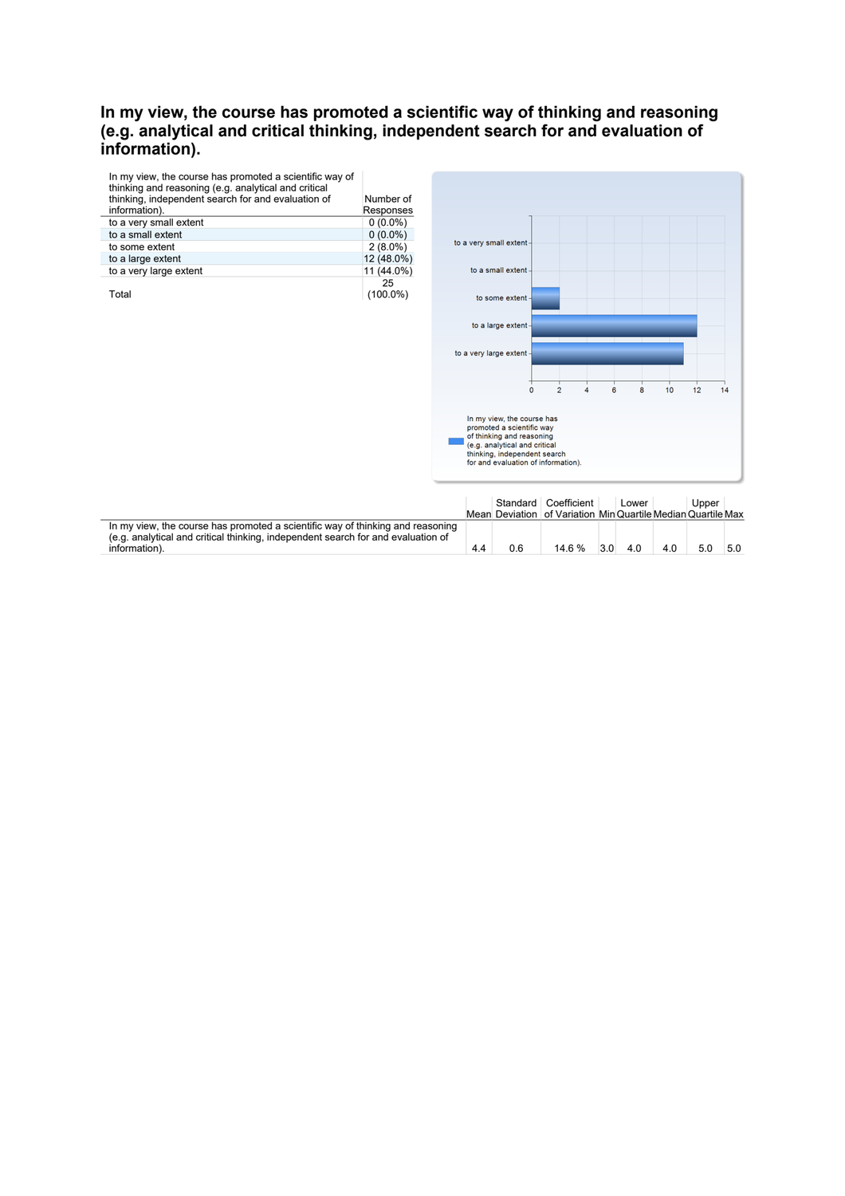# **In my view, the course has promoted a scientific way of thinking and reasoning (e.g. analytical and critical thinking, independent search for and evaluation of information).**

| In my view, the course has promoted a scientific way of<br>thinking and reasoning (e.g. analytical and critical |             |
|-----------------------------------------------------------------------------------------------------------------|-------------|
| thinking, independent search for and evaluation of                                                              | Number of   |
| information).                                                                                                   | Responses   |
| to a very small extent                                                                                          | $0(0.0\%)$  |
| to a small extent                                                                                               | $0(0.0\%)$  |
| to some extent                                                                                                  | $2(8.0\%)$  |
| to a large extent                                                                                               | 12 (48.0%)  |
| to a very large extent                                                                                          | 11 (44.0%)  |
|                                                                                                                 | 25          |
| Total                                                                                                           | $(100.0\%)$ |



|                                                                                                                                                                                     |     |     | Standard Coefficient<br>Mean Deviation of Variation Min Quartile Median Quartile Max |     | Lower |     | Upper |     |
|-------------------------------------------------------------------------------------------------------------------------------------------------------------------------------------|-----|-----|--------------------------------------------------------------------------------------|-----|-------|-----|-------|-----|
| In my view, the course has promoted a scientific way of thinking and reasoning<br>(e.g. analytical and critical thinking, independent search for and evaluation of<br>information). | 4.4 | 0.6 | 14 6 %                                                                               | 3.0 | 4.0   | 4.0 | 5.0   | 5.0 |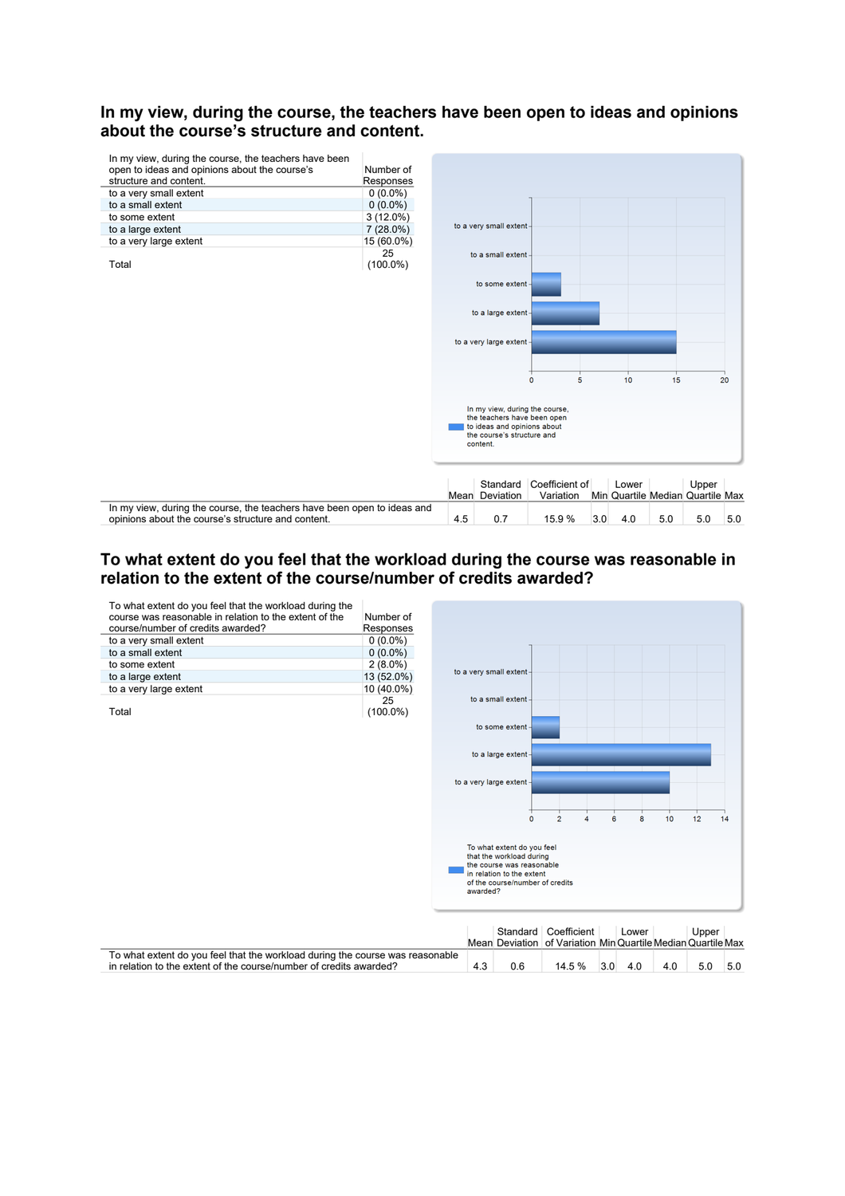# **In my view, during the course, the teachers have been open to ideas and opinions about the course's structure and content.**



# **To what extent do you feel that the workload during the course was reasonable in relation to the extent of the course/number of credits awarded?**

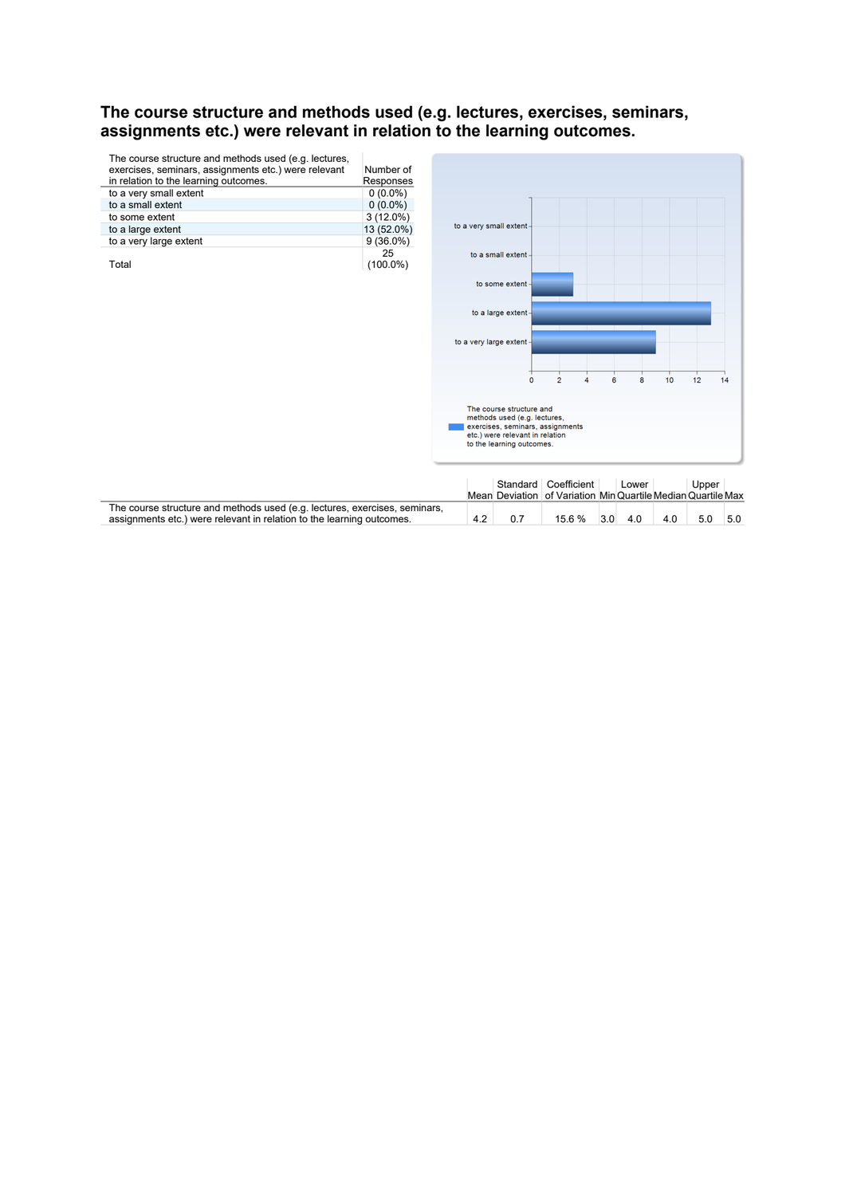# **The course structure and methods used (e.g. lectures, exercises, seminars, assignments etc.) were relevant in relation to the learning outcomes.**

| The course structure and methods used (e.g. lectures,<br>exercises, seminars, assignments etc.) were relevant<br>in relation to the learning outcomes. | Number of<br>Responses |
|--------------------------------------------------------------------------------------------------------------------------------------------------------|------------------------|
| to a very small extent                                                                                                                                 | $0(0.0\%)$             |
| to a small extent                                                                                                                                      | $0(0.0\%)$             |
| to some extent                                                                                                                                         | $3(12.0\%)$            |
| to a large extent                                                                                                                                      | 13 (52.0%)             |
| to a very large extent                                                                                                                                 | $9(36.0\%)$            |
| Total                                                                                                                                                  | 25<br>(100.0%)         |



|                                                                                                                                                     |     | Standard Coefficient<br>Mean Deviation of Variation Min Quartile Median Quartile Max | Lower |     | Upper |     |
|-----------------------------------------------------------------------------------------------------------------------------------------------------|-----|--------------------------------------------------------------------------------------|-------|-----|-------|-----|
| The course structure and methods used (e.g. lectures, exercises, seminars,<br>assignments etc.) were relevant in relation to the learning outcomes. | 0.7 | 15.6 % 3.0                                                                           | 4.0   | 4.0 | 5.0   | 5.0 |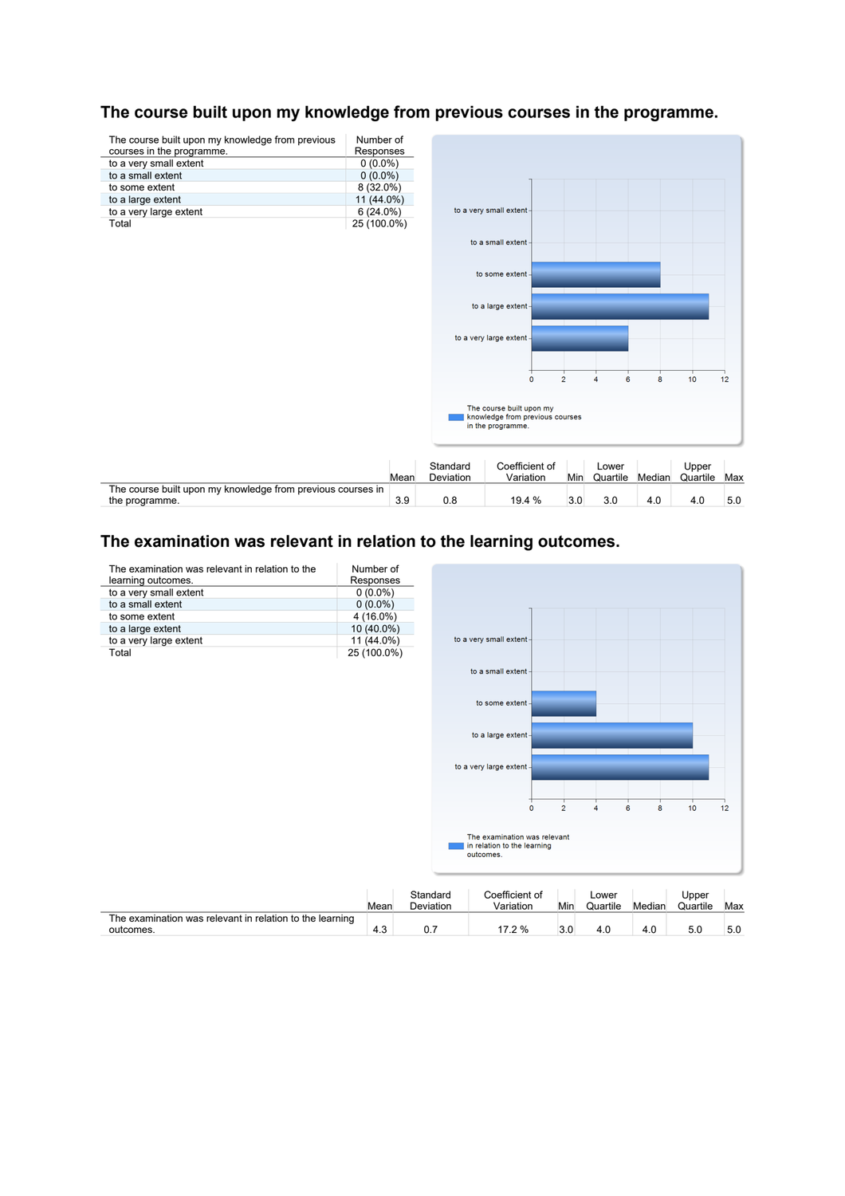

# **The course built upon my knowledge from previous courses in the programme.**

# **The examination was relevant in relation to the learning outcomes.**

| The examination was relevant in relation to the<br>learning outcomes. | Number of<br>Responses |                       |                                                                          |                |                   |        |                   |     |
|-----------------------------------------------------------------------|------------------------|-----------------------|--------------------------------------------------------------------------|----------------|-------------------|--------|-------------------|-----|
| to a very small extent                                                | $0(0.0\%)$             |                       |                                                                          |                |                   |        |                   |     |
| to a small extent                                                     | $0(0.0\%)$             |                       |                                                                          |                |                   |        |                   |     |
| to some extent                                                        | 4 (16.0%)              |                       |                                                                          |                |                   |        |                   |     |
| to a large extent                                                     | 10 (40.0%)             |                       |                                                                          |                |                   |        |                   |     |
| to a very large extent                                                | 11 (44.0%)             |                       | to a very small extent-                                                  |                |                   |        |                   |     |
| Total                                                                 | 25 (100.0%)            |                       |                                                                          |                |                   |        |                   |     |
|                                                                       |                        |                       | to a small extent                                                        |                |                   |        |                   |     |
|                                                                       |                        |                       | to some extent -                                                         |                |                   |        |                   |     |
|                                                                       |                        |                       | to a large extent-                                                       |                |                   |        |                   |     |
|                                                                       |                        |                       | to a very large extent -                                                 |                |                   |        |                   |     |
|                                                                       |                        |                       | $\mathbf 0$                                                              | $\overline{2}$ | $\overline{4}$    | 6<br>8 | 10                | 12  |
|                                                                       |                        |                       | The examination was relevant<br>in relation to the learning<br>outcomes. |                |                   |        |                   |     |
|                                                                       | Mean                   | Standard<br>Deviation | Coefficient of<br>Variation                                              | Min            | Lower<br>Quartile | Median | Upper<br>Quartile | Max |
| The examination was relevant in relation to the learning<br>outcomes. | 4.3                    | 0.7                   | 17.2 %                                                                   | 3.0            | 4.0               | 4.0    | 5.0               | 5.0 |

4.3 0.7 17.2 % 3.0 4.0 4.0 5.0 5.0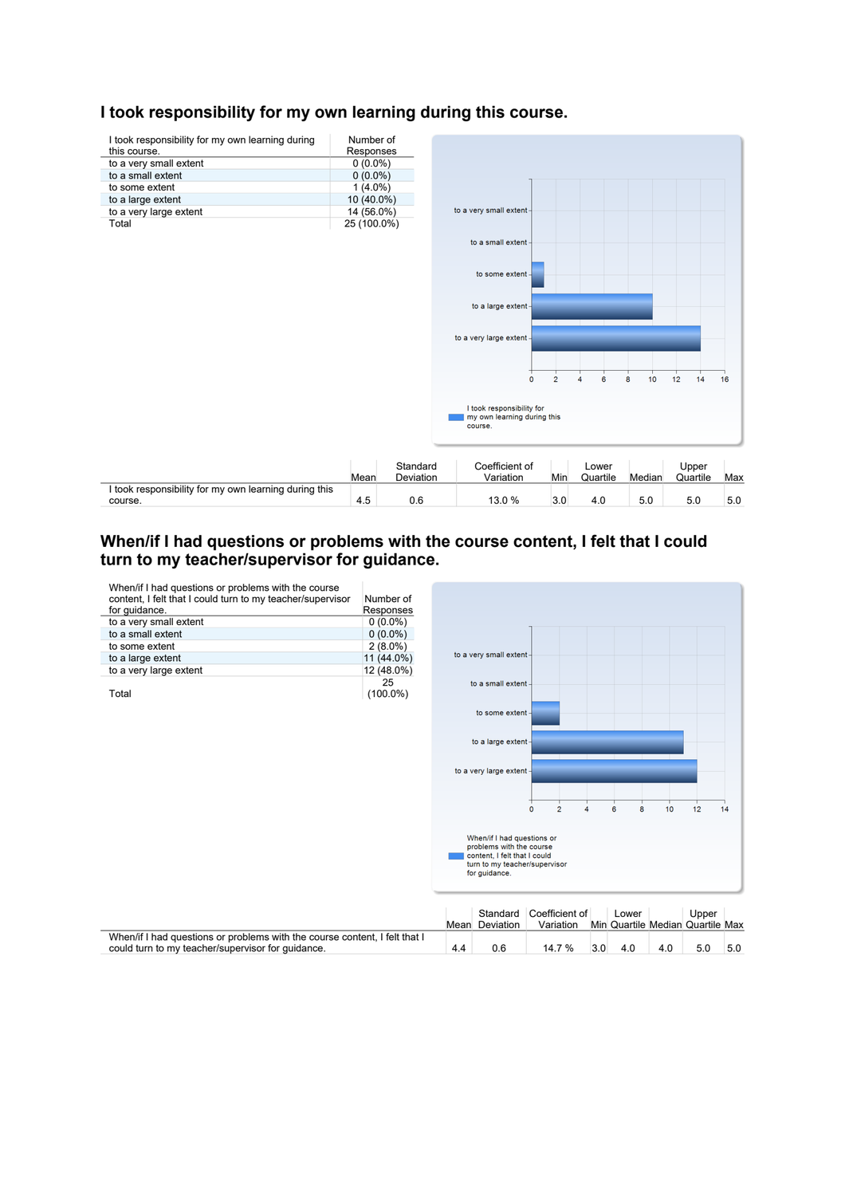

# **I took responsibility for my own learning during this course.**

# **When/if I had questions or problems with the course content, I felt that I could**  turn to my teacher/supervisor for guidance.

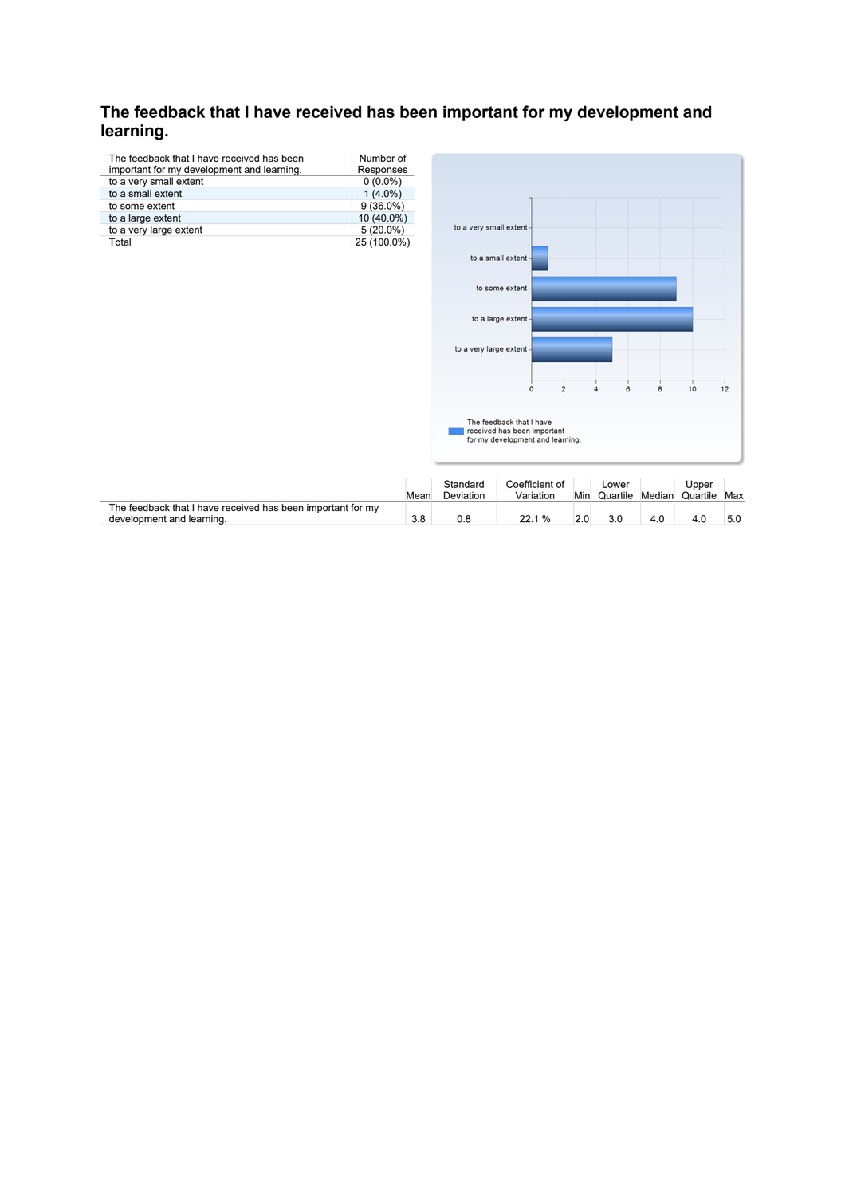# **The feedback that I have received has been important for my development and**  learning.

| The feedback that I have received has been<br>important for my development and learning. | Number of<br>Responses |
|------------------------------------------------------------------------------------------|------------------------|
| to a very small extent                                                                   | $0(0.0\%)$             |
| to a small extent                                                                        | $1(4.0\%)$             |
| to some extent                                                                           | $9(36.0\%)$            |
| to a large extent                                                                        | 10 (40.0%)             |
| to a very large extent                                                                   | $5(20.0\%)$            |
| Total                                                                                    | 25 (100.0%)            |



|                                                                                          | Mear | Standard<br>Deviation | Coefficient of<br>Variation | Min | ∟ower<br>Quartile | Median | Upper<br>Quartile | Max |
|------------------------------------------------------------------------------------------|------|-----------------------|-----------------------------|-----|-------------------|--------|-------------------|-----|
| The feedback that I have received has been important for my<br>development and learning. | 3.8  | 0.8                   | 22.1 %                      |     | 3.0               | 4.0    | 4.0               | 5.0 |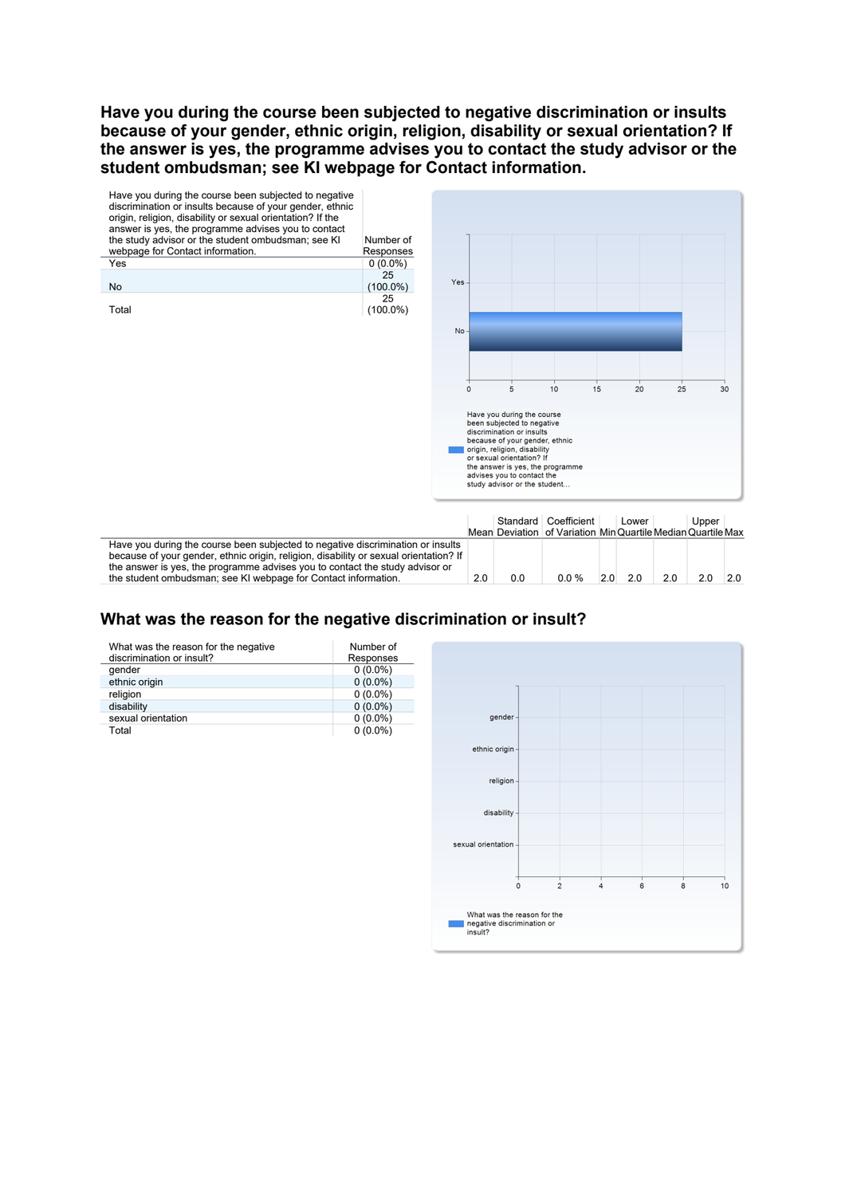**Have you during the course been subjected to negative discrimination or insults because of your gender, ethnic origin, religion, disability or sexual orientation? If the answer is yes, the programme advises you to contact the study advisor or the student ombudsman; see KI webpage for Contact information.** 



# What was the reason for the negative discrimination or insult?

| What was the reason for the negative<br>discrimination or insult? | Number of<br>Responses |
|-------------------------------------------------------------------|------------------------|
| qender                                                            | $0(0.0\%)$             |
| ethnic origin                                                     | $0(0.0\%)$             |
| religion                                                          | $0(0.0\%)$             |
| disability                                                        | $0(0.0\%)$             |
| sexual orientation                                                | $0(0.0\%)$             |
| Total                                                             | $0(0.0\%)$             |

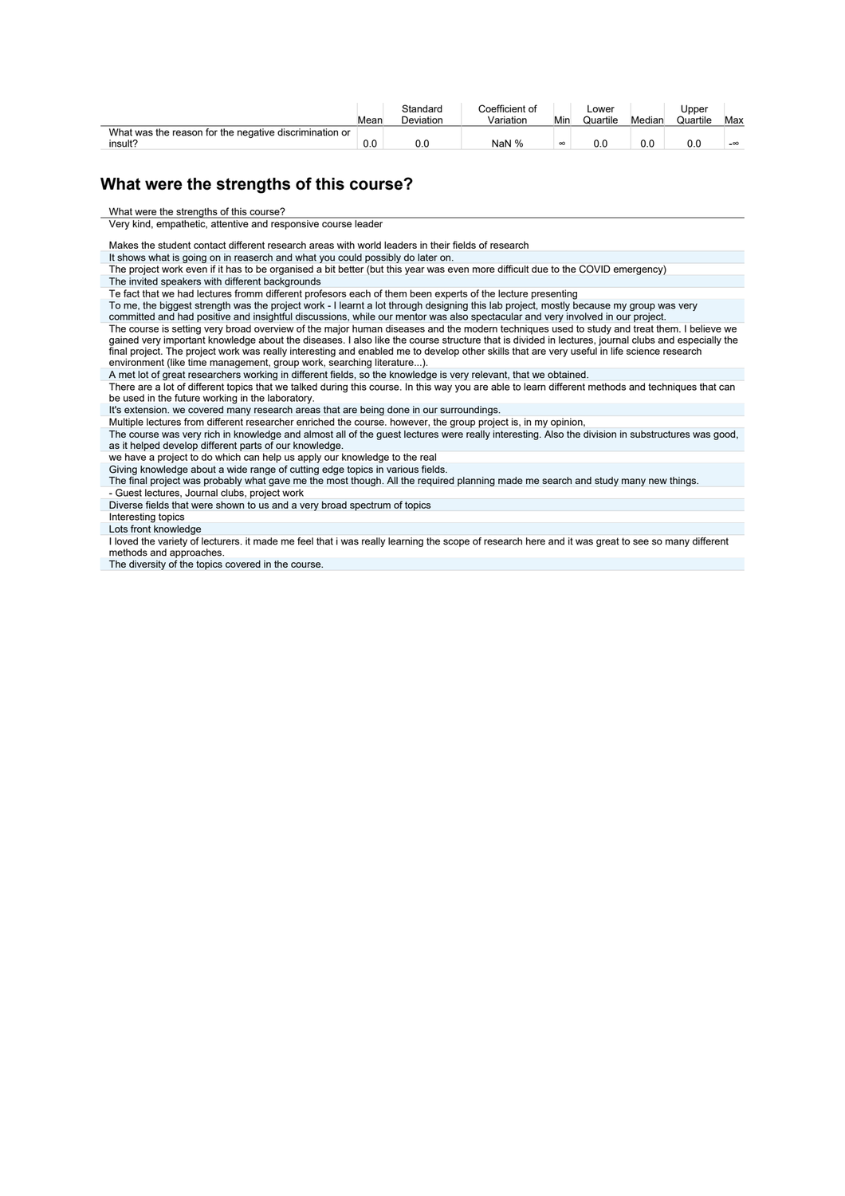|                                                        | Mear | Standard<br>Deviation | Coefficient of<br>Variation | Min      | Lowe<br>Quartile | Median | Upper<br>Quartile | Max       |
|--------------------------------------------------------|------|-----------------------|-----------------------------|----------|------------------|--------|-------------------|-----------|
| What was the reason for the negative discrimination or |      |                       |                             |          |                  |        |                   |           |
| insult?                                                | 0.0  | 0.0                   | NaN %                       | $\infty$ | 0.0              | 0.0    |                   | $-\infty$ |

# **What were the strengths of this course?**

What were the strengths of this course?

Very kind, empathetic, attentive and responsive course leader

Makes the student contact different research areas with world leaders in their fields of research

It shows what is going on in reaserch and what you could possibly do later on.

The project work even if it has to be organised a bit better (but this year was even more difficult due to the COVID emergency) The invited speakers with different backgrounds

Te fact that we had lectures fromm different profesors each of them been experts of the lecture presenting

To me, the biggest strength was the project work - I learnt a lot through designing this lab project, mostly because my group was very

committed and had positive and insightful discussions, while our mentor was also spectacular and very involved in our project.

The course is setting very broad overview of the major human diseases and the modern techniques used to study and treat them. I believe we gained very important knowledge about the diseases. I also like the course structure that is divided in lectures, journal clubs and especially the<br>final project. The project work was really interesting and enabled me to de environment (like time management, group work, searching literature...).

A met lot of great researchers working in different fields, so the knowledge is very relevant, that we obtained.

There are a lot of different topics that we talked during this course. In this way you are able to learn different methods and techniques that can be used in the future working in the laboratory.

It's extension. we covered many research areas that are being done in our surroundings.

Multiple lectures from different researcher enriched the course. however, the group project is, in my opinion,

The course was very rich in knowledge and almost all of the guest lectures were really interesting. Also the division in substructures was good, as it helped develop different parts of our knowledge.

we have a project to do which can help us apply our knowledge to the real

Giving knowledge about a wide range of cutting edge topics in various fields.

The final project was probably what gave me the most though. All the required planning made me search and study many new things.

- Guest lectures, Journal clubs, project work

Diverse fields that were shown to us and a very broad spectrum of topics

Interesting topics

Lots front knowledge

I loved the variety of lecturers. it made me feel that i was really learning the scope of research here and it was great to see so many different methods and approaches.

The diversity of the topics covered in the course.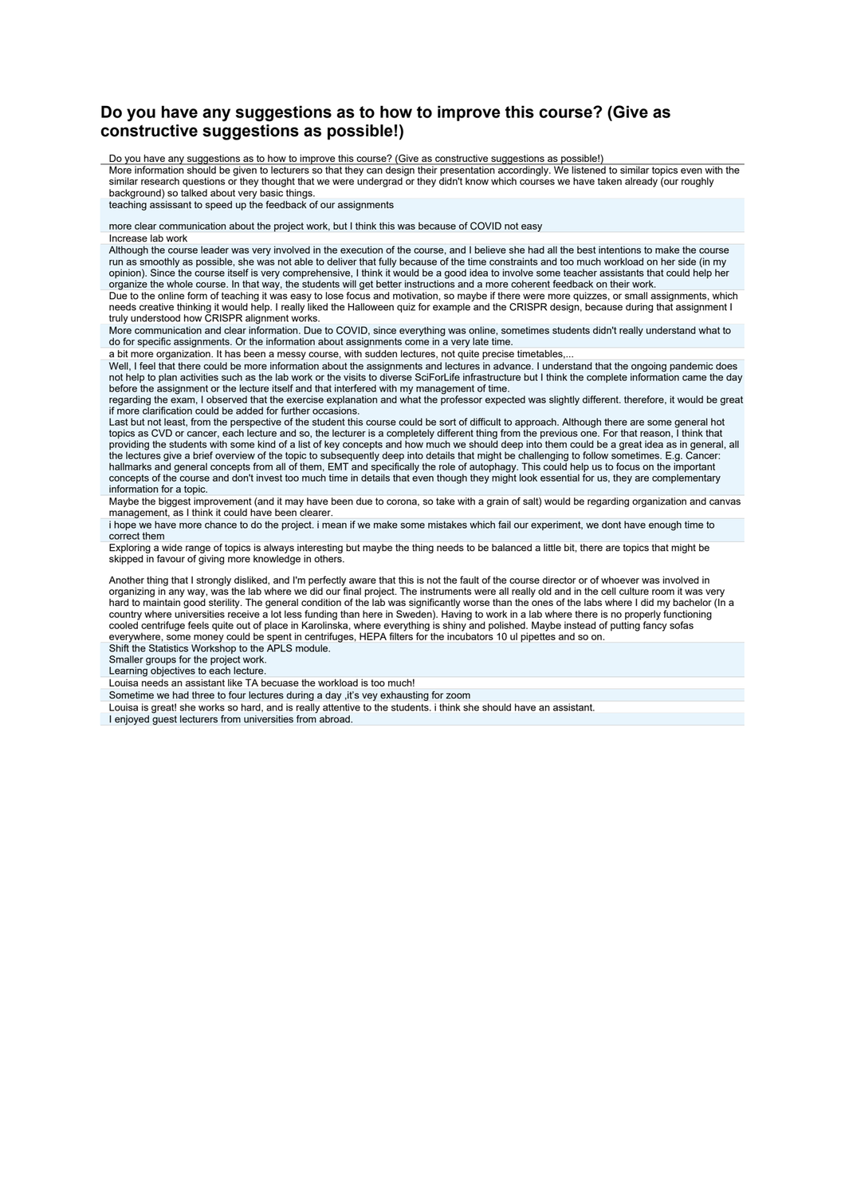# **Do you have any suggestions as to how to improve this course? (Give as constructive suggestions as possible!)**

Do you have any suggestions as to how to improve this course? (Give as constructive suggestions as possible!)

More information should be given to lecturers so that they can design their presentation accordingly. We listened to similar topics even with the similar research questions or they thought that we were undergrad or they didn't know which courses we have taken already (our roughly background) so talked about very basic things.

teaching assissant to speed up the feedback of our assignments

more clear communication about the project work, but I think this was because of COVID not easy

Increase lab work

Although the course leader was very involved in the execution of the course, and I believe she had all the best intentions to make the course run as smoothly as possible, she was not able to deliver that fully because of the time constraints and too much workload on her side (in my opinion). Since the course itself is very comprehensive, I think it would be a good idea to involve some teacher assistants that could help her organize the whole course. In that way, the students will get better instructions and a more coherent feedback on their work.

Due to the online form of teaching it was easy to lose focus and motivation, so maybe if there were more quizzes, or small assignments, which needs creative thinking it would help. I really liked the Halloween quiz for example and the CRISPR design, because during that assignment I truly understood how CRISPR alignment works.

More communication and clear information. Due to COVID, since everything was online, sometimes students didn't really understand what to do for specific assignments. Or the information about assignments come in a very late time.

a bit more organization. It has been a messy course, with sudden lectures, not quite precise timetables,...

Well, I feel that there could be more information about the assignments and lectures in advance. I understand that the ongoing pandemic does not help to plan activities such as the lab work or the visits to diverse SciForLife infrastructure but I think the complete information came the day

before the assignment or the lecture itself and that interfered with my management of time.<br>regarding the exam, I observed that the exercise explanation and what the professor expected was slightly different. therefore, it if more clarification could be added for further occasions.

Last but not least, from the perspective of the student this course could be sort of difficult to approach. Although there are some general hot topics as CVD or cancer, each lecture and so, the lecturer is a completely different thing from the previous one. For that reason, I think that<br>providing the students with some kind of a list of key concepts and how much w the lectures give a brief overview of the topic to subsequently deep into details that might be challenging to follow sometimes. E.g. Cancer: hallmarks and general concepts from all of them, EMT and specifically the role of autophagy. This could help us to focus on the important<br>concepts of the course and don't invest too much time in details that even though th information for a topic.

Maybe the biggest improvement (and it may have been due to corona, so take with a grain of salt) would be regarding organization and canvas management, as I think it could have been clearer.

i hope we have more chance to do the project. i mean if we make some mistakes which fail our experiment, we dont have enough time to correct them

Exploring a wide range of topics is always interesting but maybe the thing needs to be balanced a little bit, there are topics that might be skipped in favour of giving more knowledge in others.

Another thing that I strongly disliked, and I'm perfectly aware that this is not the fault of the course director or of whoever was involved in organizing in any way, was the lab where we did our final project. The instruments were all really old and in the cell culture room it was very<br>hard to maintain good sterility. The general condition of the lab was signific country where universities receive a lot less funding than here in Sweden). Having to work in a lab where there is no properly functioning cooled centrifuge feels quite out of place in Karolinska, where everything is shiny and polished. Maybe instead of putting fancy sofas everywhere, some money could be spent in centrifuges, HEPA filters for the incubators 10 ul pipettes and so on.

Shift the Statistics Workshop to the APLS module.

Smaller groups for the project work.

Learning objectives to each lecture.

Louisa needs an assistant like TA becuase the workload is too much!

Sometime we had three to four lectures during a day ,it's vey exhausting for zoom

Louisa is great! she works so hard, and is really attentive to the students. i think she should have an assistant.

I enjoyed guest lecturers from universities from abroad.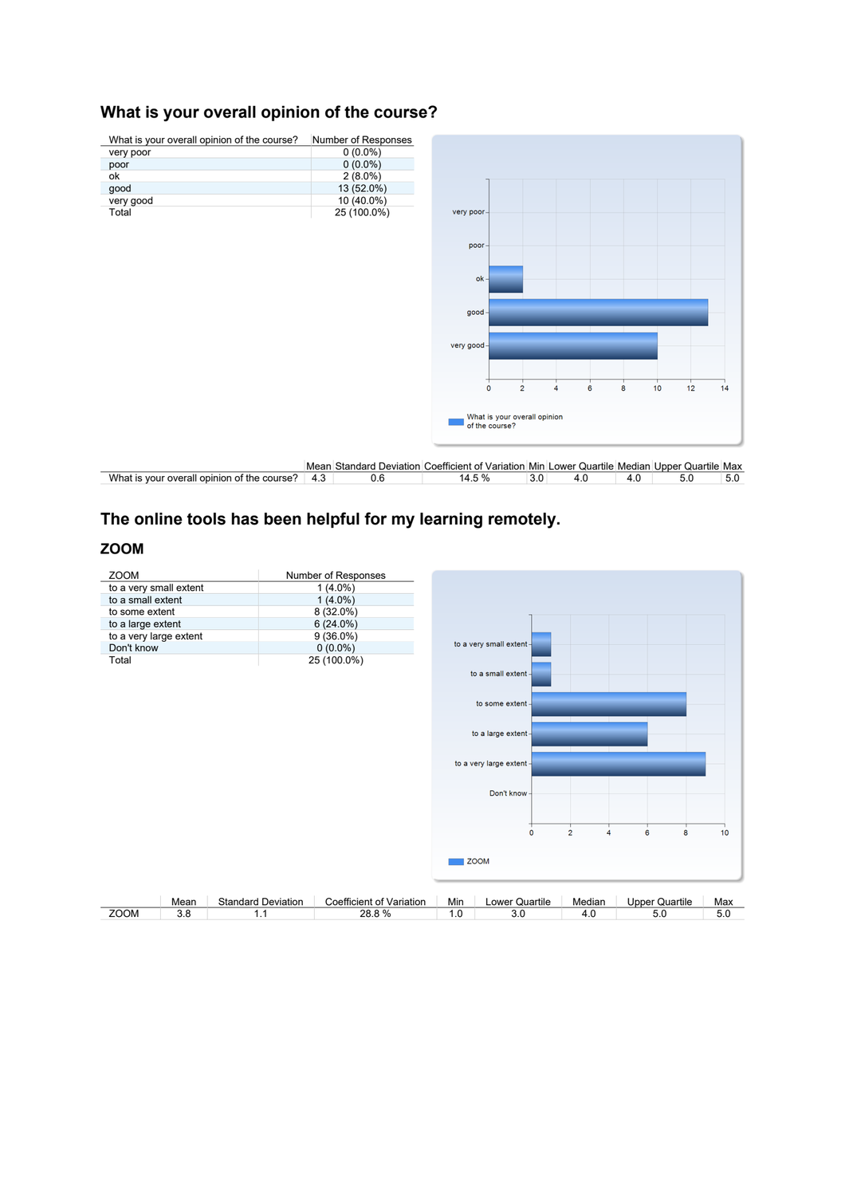# **What is your overall opinion of the course?**



# **The online tools has been helpful for my learning remotely.**

# **ZOOM**

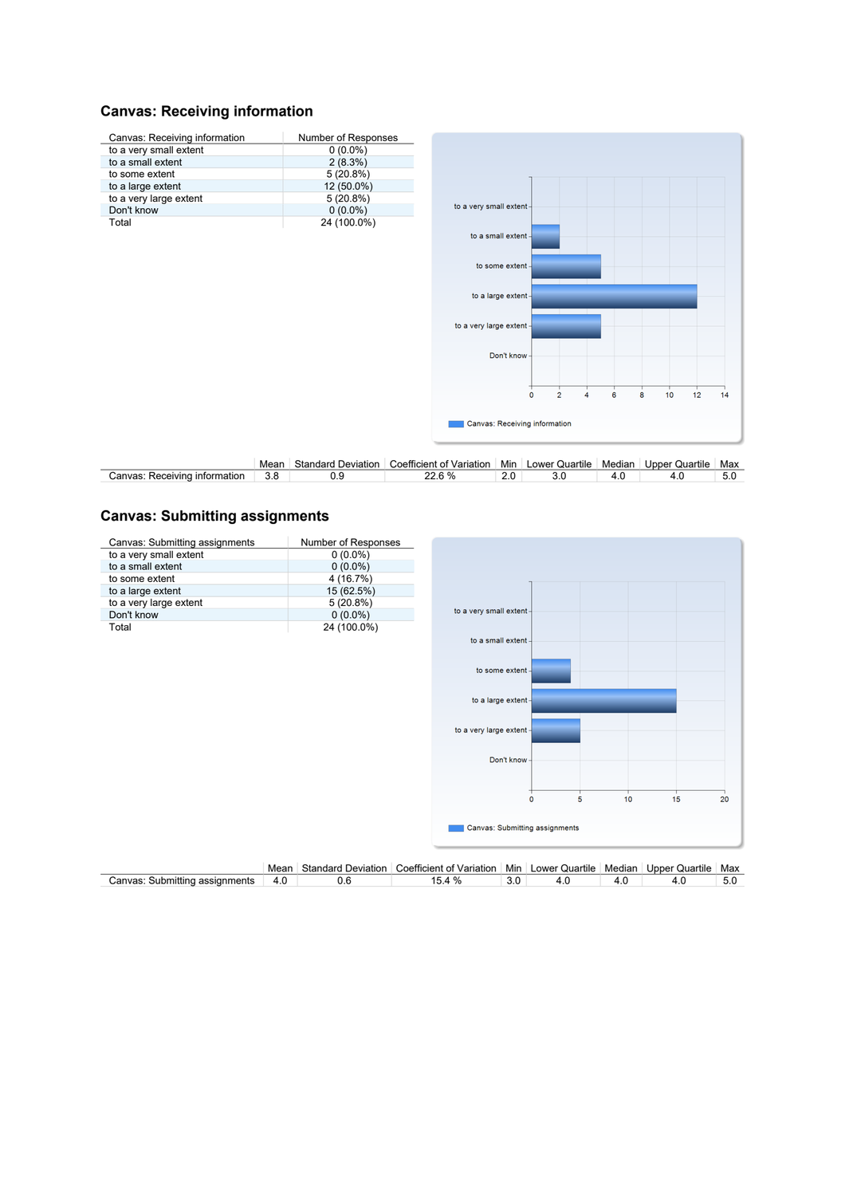# **Canvas: Receiving information**

| Canvas: Receiving information | Number of Responses |                               |         |                |   |                |   |    |    |    |
|-------------------------------|---------------------|-------------------------------|---------|----------------|---|----------------|---|----|----|----|
| to a very small extent        | $0(0.0\%)$          |                               |         |                |   |                |   |    |    |    |
| to a small extent             | 2(8.3%)             |                               |         |                |   |                |   |    |    |    |
| to some extent                | 5(20.8%)            |                               |         |                |   |                |   |    |    |    |
| to a large extent             | 12 (50.0%)          |                               |         |                |   |                |   |    |    |    |
| to a very large extent        | 5(20.8%)            |                               |         |                |   |                |   |    |    |    |
| Don't know                    | $0(0.0\%)$          | to a very small extent-       |         |                |   |                |   |    |    |    |
| Total                         | 24 (100.0%)         |                               |         |                |   |                |   |    |    |    |
|                               |                     | to a small extent -           |         |                |   |                |   |    |    |    |
|                               |                     |                               |         |                |   |                |   |    |    |    |
|                               |                     | to some extent -              |         |                |   |                |   |    |    |    |
|                               |                     |                               |         |                |   |                |   |    |    |    |
|                               |                     |                               |         |                |   |                |   |    |    |    |
|                               |                     | to a large extent-            |         |                |   |                |   |    |    |    |
|                               |                     |                               |         |                |   |                |   |    |    |    |
|                               |                     | to a very large extent -      |         |                |   |                |   |    |    |    |
|                               |                     |                               |         |                |   |                |   |    |    |    |
|                               |                     |                               |         |                |   |                |   |    |    |    |
|                               |                     | Don't know-                   |         |                |   |                |   |    |    |    |
|                               |                     |                               |         |                |   |                |   |    |    |    |
|                               |                     |                               |         |                |   |                |   |    |    |    |
|                               |                     |                               | $\circ$ | $\overline{2}$ | 4 | $6\phantom{a}$ | 8 | 10 | 12 | 14 |
|                               |                     |                               |         |                |   |                |   |    |    |    |
|                               |                     | Canvas: Receiving information |         |                |   |                |   |    |    |    |
|                               |                     |                               |         |                |   |                |   |    |    |    |
|                               |                     |                               |         |                |   |                |   |    |    |    |
|                               |                     |                               |         |                |   |                |   |    |    |    |

|                                    | Mean | Standard<br>Deviation | $\sim$<br>∴oefficient<br>Variation | .<br>Min | $\cdots$<br>Lower Quartile | Mediar   | Upper<br>Quartile | Max |
|------------------------------------|------|-----------------------|------------------------------------|----------|----------------------------|----------|-------------------|-----|
| ∵anvas<br>information<br>Receiving | 3.8  |                       | 60 <sub>4</sub>                    |          |                            | $\cdots$ |                   |     |

# **Canvas: Submitting assignments**

| Canvas: Submitting assignments | Number of Responses |                                                                |   |                            |    |    |
|--------------------------------|---------------------|----------------------------------------------------------------|---|----------------------------|----|----|
| to a very small extent         | $0(0.0\%)$          |                                                                |   |                            |    |    |
| to a small extent              | $0(0.0\%)$          |                                                                |   |                            |    |    |
| to some extent                 | 4 (16.7%)           |                                                                |   |                            |    |    |
| to a large extent              | 15 (62.5%)          |                                                                |   |                            |    |    |
| to a very large extent         | 5(20.8%)            |                                                                |   |                            |    |    |
| Don't know                     | $0(0.0\%)$          | to a very small extent-                                        |   |                            |    |    |
| Total                          | 24 (100.0%)         |                                                                |   |                            |    |    |
|                                |                     | to a small extent -                                            |   |                            |    |    |
|                                |                     |                                                                |   |                            |    |    |
|                                |                     | to some extent -                                               |   |                            |    |    |
|                                |                     |                                                                |   |                            |    |    |
|                                |                     |                                                                |   |                            |    |    |
|                                |                     | to a large extent-                                             |   |                            |    |    |
|                                |                     |                                                                |   |                            |    |    |
|                                |                     | to a very large extent -                                       |   |                            |    |    |
|                                |                     |                                                                |   |                            |    |    |
|                                |                     |                                                                |   |                            |    |    |
|                                |                     | Don't know-                                                    |   |                            |    |    |
|                                |                     |                                                                |   |                            |    |    |
|                                |                     |                                                                |   |                            |    |    |
|                                |                     | $\mathbf 0$                                                    | 5 | 10                         | 15 | 20 |
|                                |                     |                                                                |   |                            |    |    |
|                                |                     | Canvas: Submitting assignments                                 |   |                            |    |    |
|                                |                     |                                                                |   |                            |    |    |
|                                |                     |                                                                |   |                            |    |    |
|                                |                     | المناصب والمتحدث والمتحام والمتحدث والمستحدث والمحارب والمحارب |   | المقارب والمعارف والمستحدث |    |    |

|                                   | Mear      | Star<br>.ndard<br>Deviation | --<br>/ariation<br>uoetticien'<br>.ent | .<br>Min   | <br>ower<br>Quartile | Mediar | Jnner<br>Quartile | Max |
|-----------------------------------|-----------|-----------------------------|----------------------------------------|------------|----------------------|--------|-------------------|-----|
| :anvas<br>nents<br>nittir<br>sıar | 4.U<br>__ | v.u                         | L                                      | J.U<br>. . |                      | т. с   |                   | v.J |
|                                   |           |                             |                                        |            |                      |        |                   |     |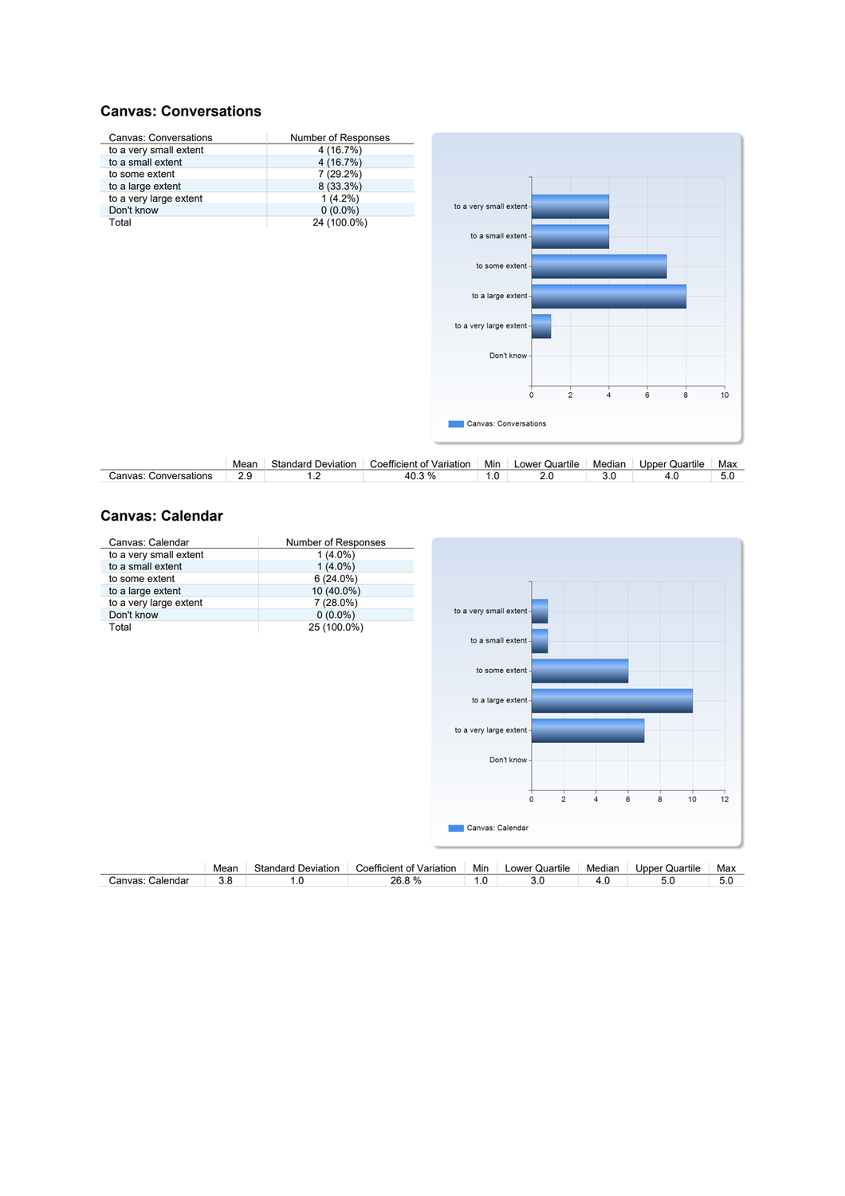### **Canvas: Conversations**



|                          | Mear     | Standard<br>Deviation | $\overline{\phantom{a}}$<br>∴oefficient<br>Variation | Min | .<br>_ower<br>Quartile | <br>Median | Quartile<br>Upper | Max |
|--------------------------|----------|-----------------------|------------------------------------------------------|-----|------------------------|------------|-------------------|-----|
| Canvas:<br>Conversations | <u>.</u> |                       | 3%                                                   | ن ا |                        | v.J        |                   | v.v |

 $\overline{\mathbf{8}}$ 

 $\overline{6}$ 

 $10$ 

### **Canvas: Calendar**

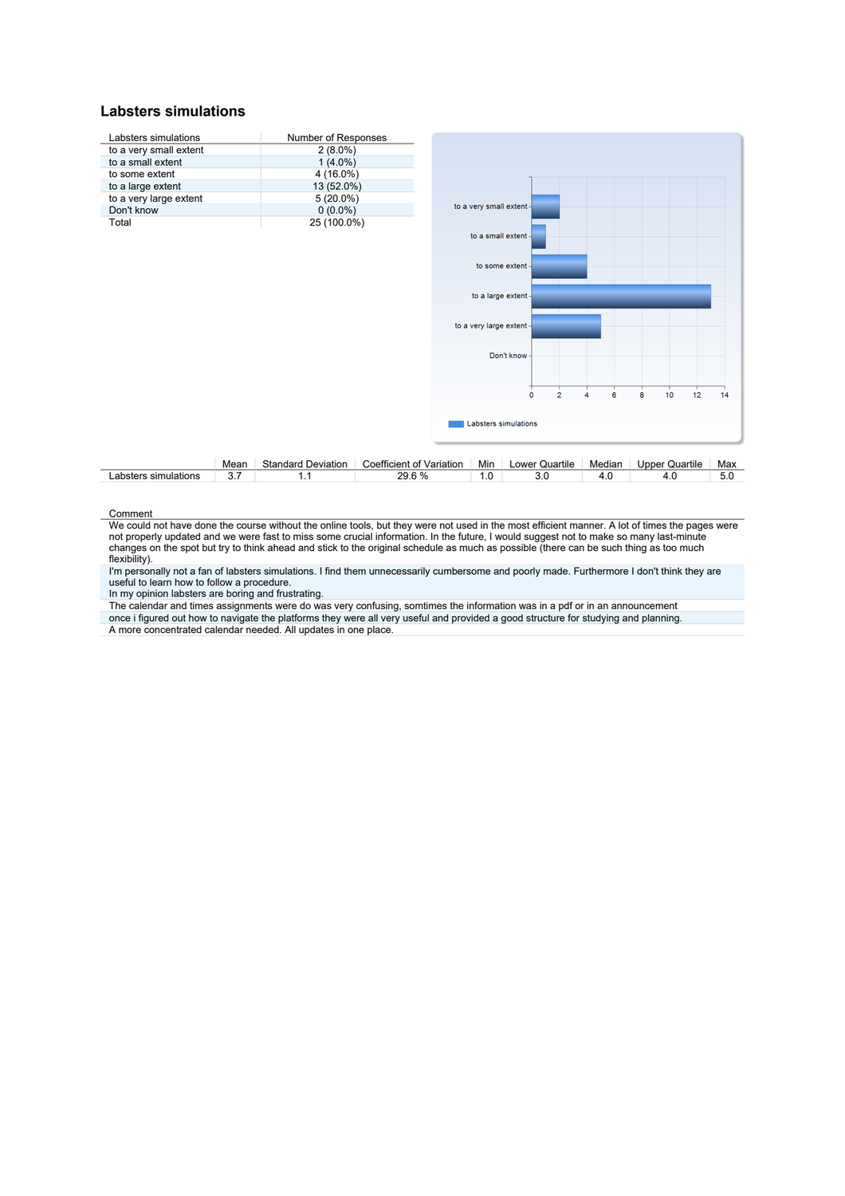#### **Labsters simulations**



|                            | Mear | Standar<br>----<br>Deviation | Variation<br>Coefficier<br>ΩТ | .<br>Mir | .<br>∟ower<br>Quartile | <br>Mediar | Quartile<br>Jpper : | Max                             |
|----------------------------|------|------------------------------|-------------------------------|----------|------------------------|------------|---------------------|---------------------------------|
| sim<br>าulations<br>abster |      | .                            | $\sim$ 0.1<br>ററ              | w        | U.L                    | $\cdots$   | $\cdots$            | $\overline{\phantom{0}}$<br>v.v |

#### **Comment**

We could not have done the course without the online tools, but they were not used in the most efficient manner. A lot of times the pages were not properly updated and we were fast to miss some crucial information. In the future, I would suggest not to make so many last-minute changes on the spot but try to think ahead and stick to the original schedule as much as possible (there can be such thing as too much flexibility).

l'm personally not a fan of labsters simulations. I find them unnecessarily cumbersome and poorly made. Furthermore I don't think they are<br>useful to learn how to follow a procedure.

In my opinion labsters are boring and frustrating.

The calendar and times assignments were do was very confusing, somtimes the information was in a pdf or in an announcement once i figured out how to navigate the platforms they were all very useful and provided a good structure for studying and planning. A more concentrated calendar needed. All updates in one place.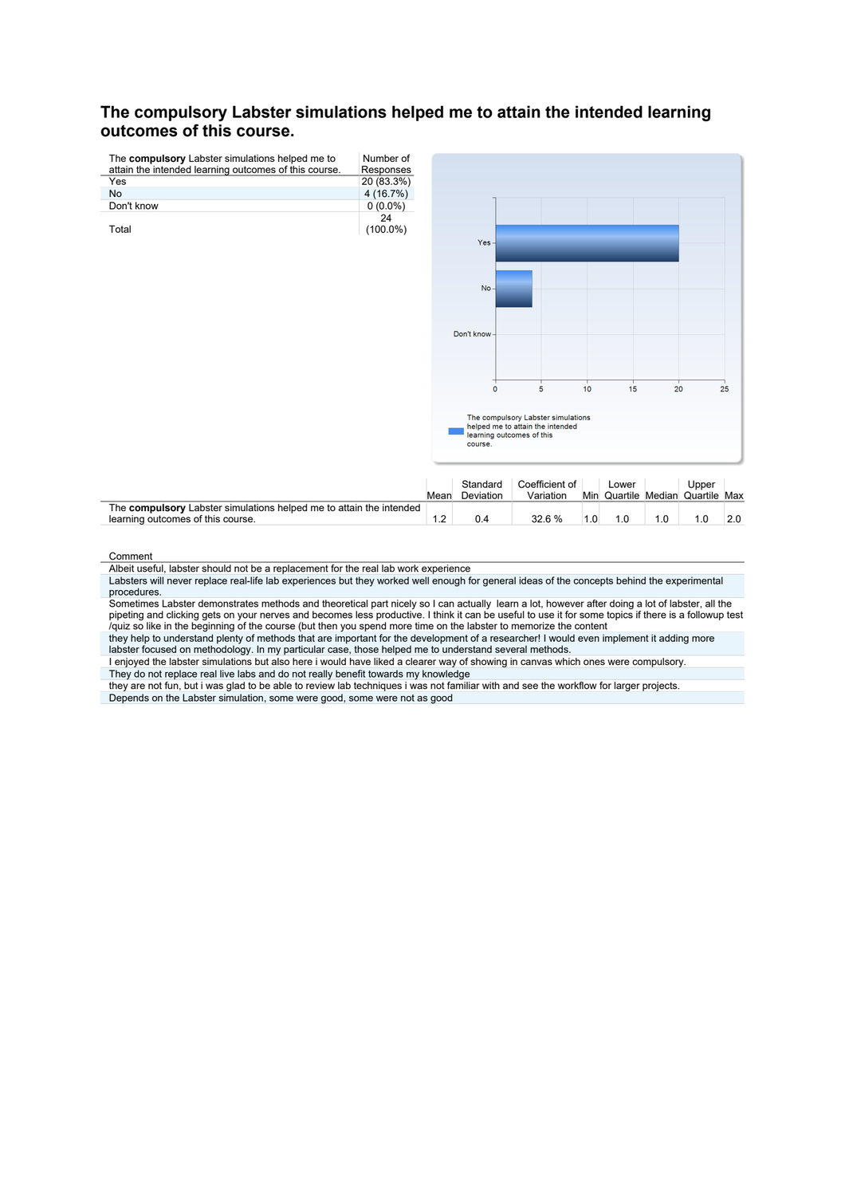# **The compulsory Labster simulations helped me to attain the intended learning outcomes of this course.**



Comment

Albeit useful, labster should not be a replacement for the real lab work experience

Labsters will never replace real-life lab experiences but they worked well enough for general ideas of the concepts behind the experimental procedures.

Sometimes Labster demonstrates methods and theoretical part nicely so I can actually learn a lot, however after doing a lot of labster, all the pipeting and clicking gets on your nerves and becomes less productive. I think it can be useful to use it for some topics if there is a followup test<br>/quiz so like in the beginning of the course (but then you spend more ti

they help to understand plenty of methods that are important for the development of a researcher! I would even implement it adding more labster focused on methodology. In my particular case, those helped me to understand several methods.

I enjoyed the labster simulations but also here i would have liked a clearer way of showing in canvas which ones were compulsory. They do not replace real live labs and do not really benefit towards my knowledge

they are not fun, but i was glad to be able to review lab techniques i was not familiar with and see the workflow for larger projects. Depends on the Labster simulation, some were good, some were not as good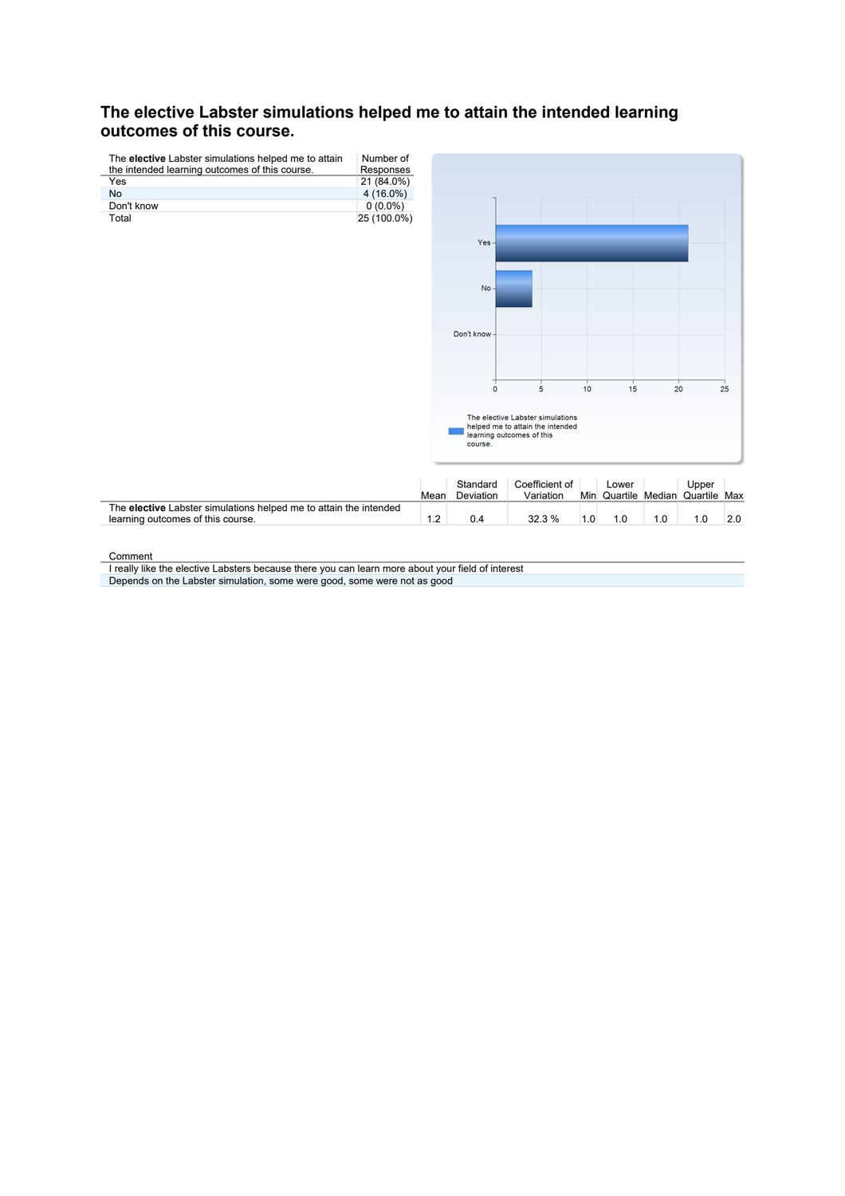# **The elective Labster simulations helped me to attain the intended learning outcomes of this course.**



Comment

I really like the elective Labsters because there you can learn more about your field of interest Depends on the Labster simulation, some were good, some were not as good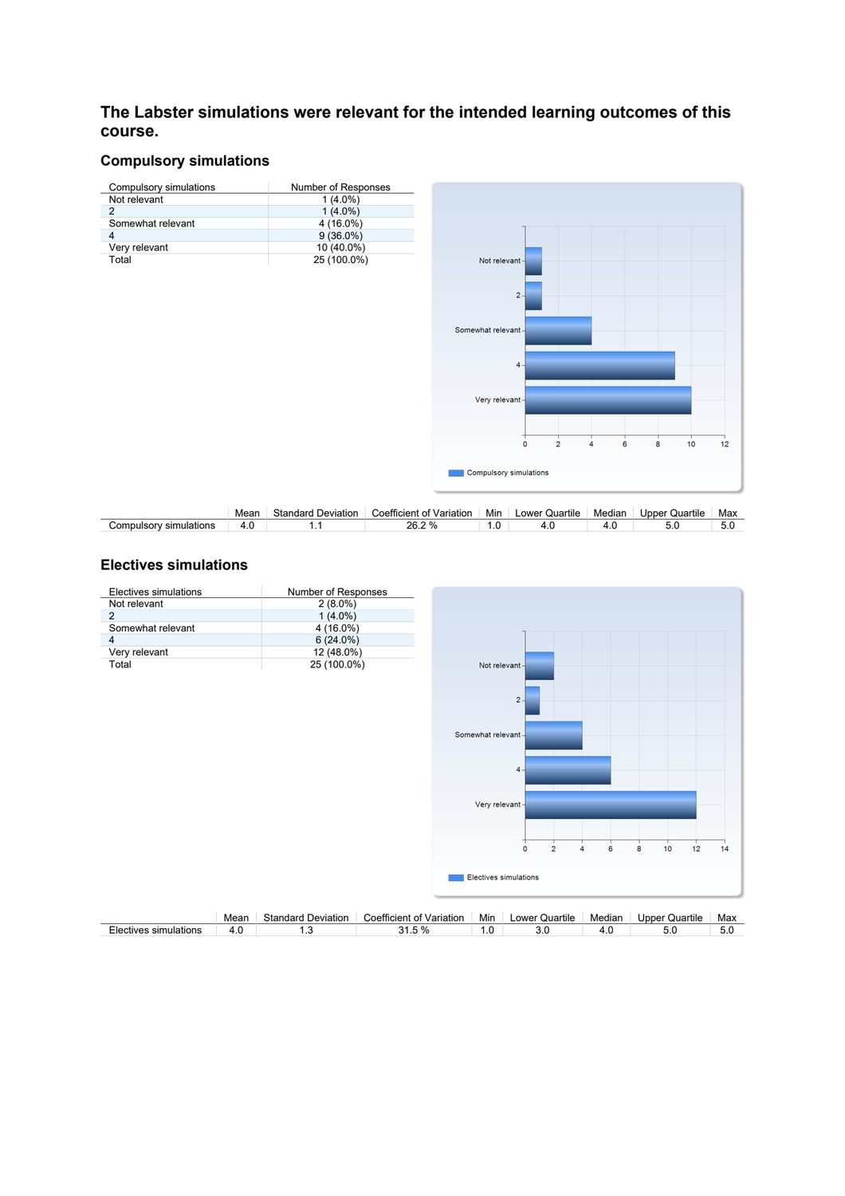# **The Labster simulations were relevant for the intended learning outcomes of this course.**

# **Compulsory simulations**



|                                     | Mean | idard<br>خtar<br>Deviation | --<br>`oetticient<br>Variation | .<br>Min | $-$<br><b>OWP</b><br>Quartile | Mediar | Quartile<br>Joper | Max |
|-------------------------------------|------|----------------------------|--------------------------------|----------|-------------------------------|--------|-------------------|-----|
| Compulse.<br>sim<br>าulations<br>Ωn | . .  | . .                        | ንፍ<br>20.L                     | ن ا      | т. с                          |        |                   | J.U |

# **Electives simulations**

| Electives simulations |      | Number of Responses       |                          |                    |                                |                     |   |                       |     |
|-----------------------|------|---------------------------|--------------------------|--------------------|--------------------------------|---------------------|---|-----------------------|-----|
| Not relevant          |      | $2(8.0\%)$                |                          |                    |                                |                     |   |                       |     |
| $\overline{2}$        |      | $1(4.0\%)$                |                          |                    |                                |                     |   |                       |     |
| Somewhat relevant     |      | 4 (16.0%)                 |                          |                    |                                |                     |   |                       |     |
| 4                     |      | $6(24.0\%)$               |                          |                    |                                |                     |   |                       |     |
| Very relevant         |      | 12 (48.0%)                |                          |                    |                                |                     |   |                       |     |
| Total                 |      | 25 (100.0%)               |                          | Not relevant-      |                                |                     |   |                       |     |
|                       |      |                           |                          |                    |                                |                     |   |                       |     |
|                       |      |                           |                          |                    |                                |                     |   |                       |     |
|                       |      |                           |                          |                    | $2 -$                          |                     |   |                       |     |
|                       |      |                           |                          |                    |                                |                     |   |                       |     |
|                       |      |                           |                          |                    |                                |                     |   |                       |     |
|                       |      |                           |                          | Somewhat relevant- |                                |                     |   |                       |     |
|                       |      |                           |                          |                    |                                |                     |   |                       |     |
|                       |      |                           |                          |                    | $4 -$                          |                     |   |                       |     |
|                       |      |                           |                          |                    |                                |                     |   |                       |     |
|                       |      |                           |                          |                    |                                |                     |   |                       |     |
|                       |      |                           |                          | Very relevant-     |                                |                     |   |                       |     |
|                       |      |                           |                          |                    |                                |                     |   |                       |     |
|                       |      |                           |                          |                    |                                |                     |   |                       |     |
|                       |      |                           |                          |                    |                                |                     |   |                       |     |
|                       |      |                           |                          |                    | $\overline{2}$<br>$\mathbf{0}$ | 6<br>$\overline{4}$ | 8 | 10<br>12              | 14  |
|                       |      |                           |                          |                    |                                |                     |   |                       |     |
|                       |      |                           |                          |                    | <b>Electives simulations</b>   |                     |   |                       |     |
|                       |      |                           |                          |                    |                                |                     |   |                       |     |
|                       |      |                           |                          |                    |                                |                     |   |                       |     |
|                       | Mean | <b>Standard Deviation</b> | Coefficient of Variation | Min                | Lower Quartile                 | Median              |   | <b>Upper Quartile</b> | Max |
| Electives simulations | 4.0  | 1.3                       | 31.5 %                   | 1.0                | 3.0                            | 4.0                 |   | 5.0                   | 5.0 |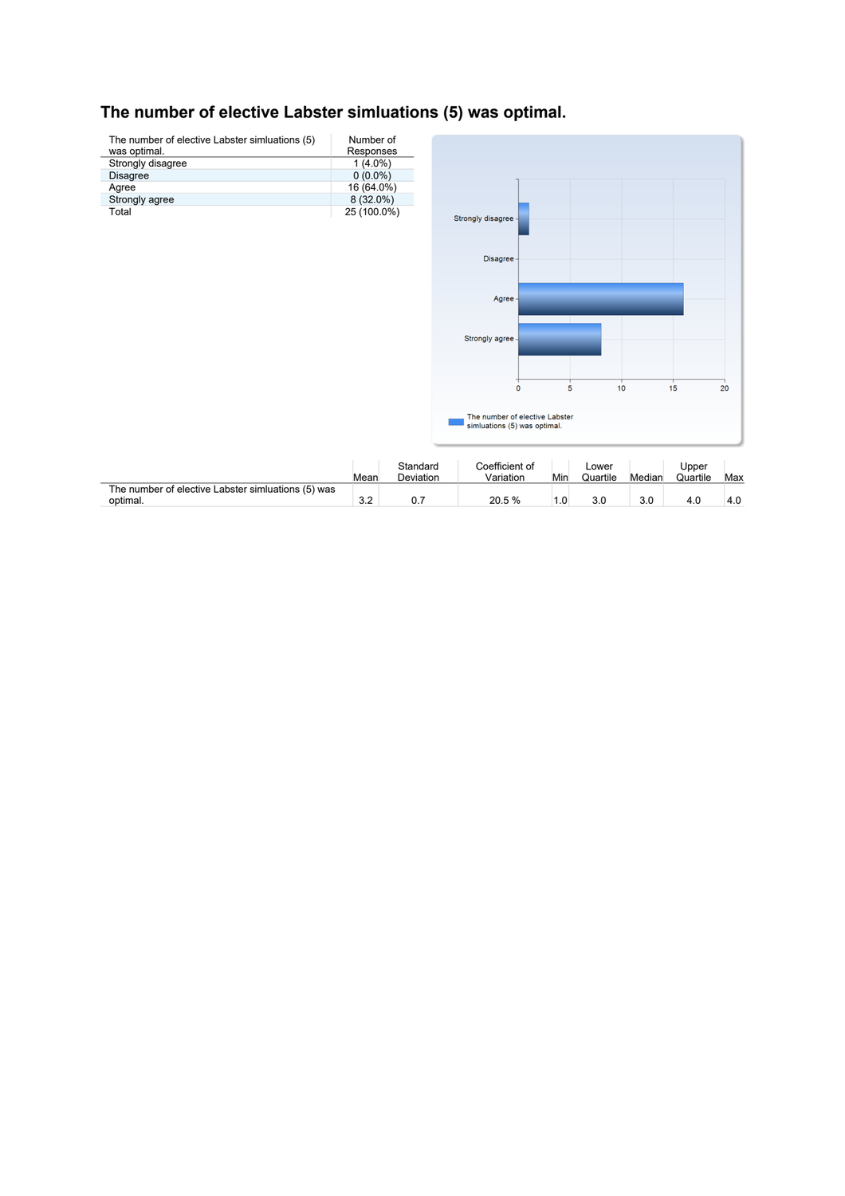# **The number of elective Labster simluations (5) was optimal.**

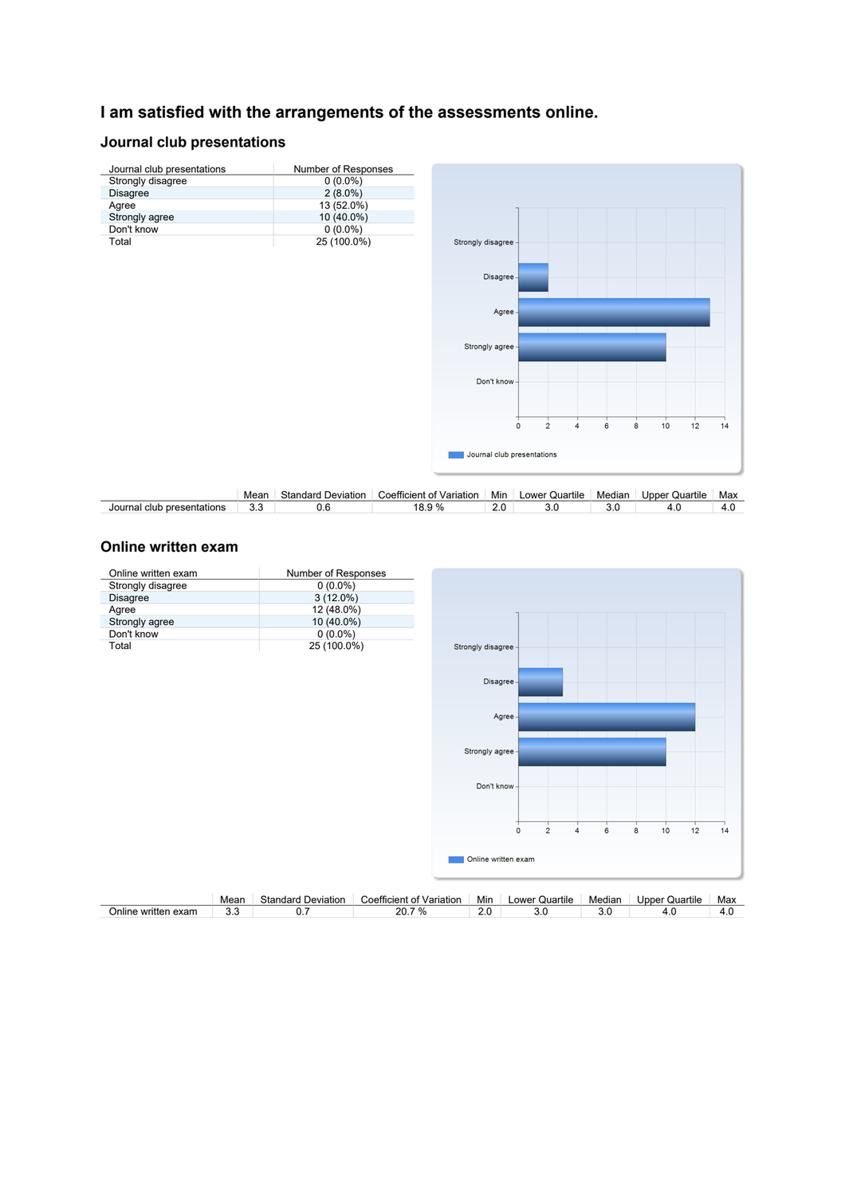# **I am satisfied with the arrangements of the assessments online.**

### **Journal club presentations**



|                                  | Mean | .⊰tandard<br>Deviation | --<br>Variation<br>Coefficient<br>. വ | $\cdot$<br>Min | $\cdots$<br>Lower<br>Quartile | Mediar | Upper<br>Quartile | Max                                   |
|----------------------------------|------|------------------------|---------------------------------------|----------------|-------------------------------|--------|-------------------|---------------------------------------|
| Journal<br>presentations<br>club | ◡.   | v.v                    | റ<br>. u.<br>- 70<br>ບ.ອ              | Z.U            | v.v                           | v.v    | г. с              | $\overline{\phantom{a}}$<br>$\ddotsc$ |

### **Online written exam**

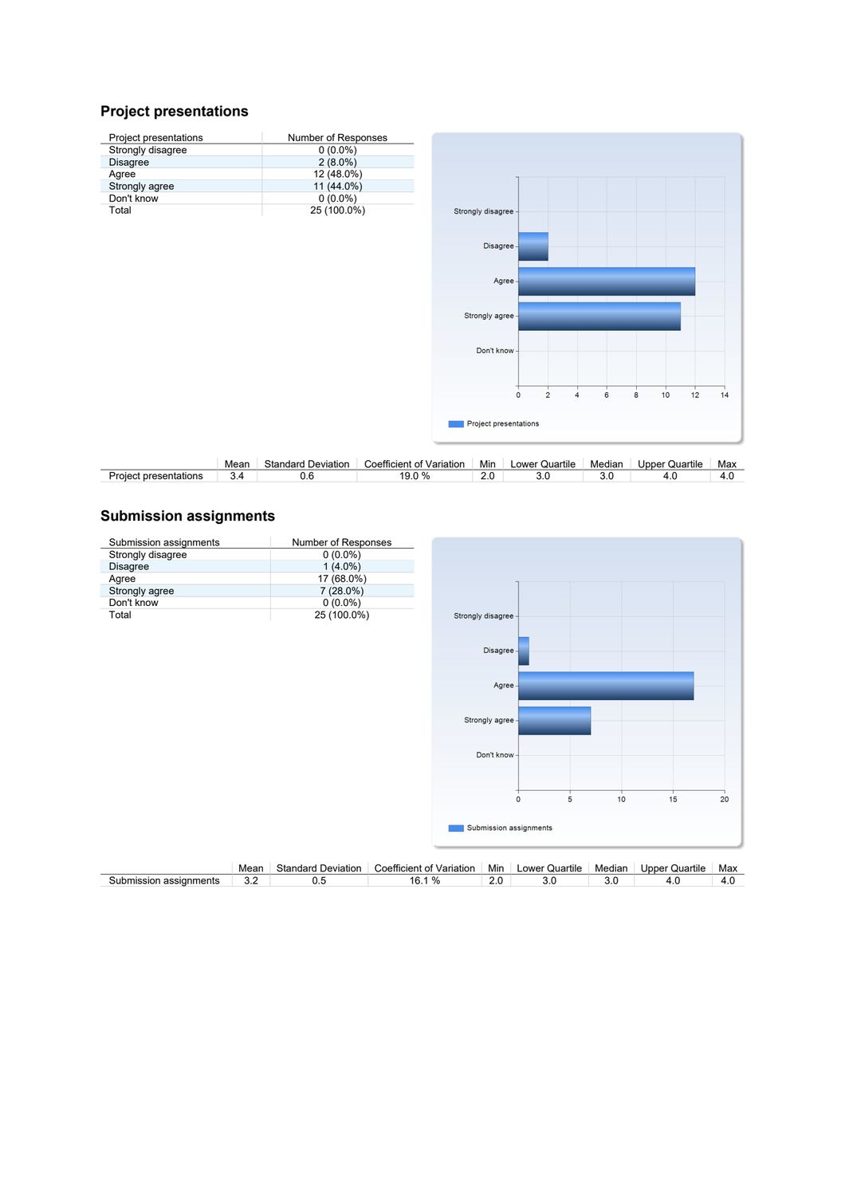## **Project presentations**





|                          | Mean | Standard<br>Deviation | Coefficient<br>Variation<br>ΩТ | .<br>Mir | Quartile<br>∟ower | Mediar | Jpper (<br>Quartile | Max   |
|--------------------------|------|-----------------------|--------------------------------|----------|-------------------|--------|---------------------|-------|
| presentations<br>Proiect |      | ◡.◡                   | ٦.<br>ν.<br>◡.◡                | <u>.</u> | U.U               | v.u    |                     | - 4.U |

## **Submission assignments**